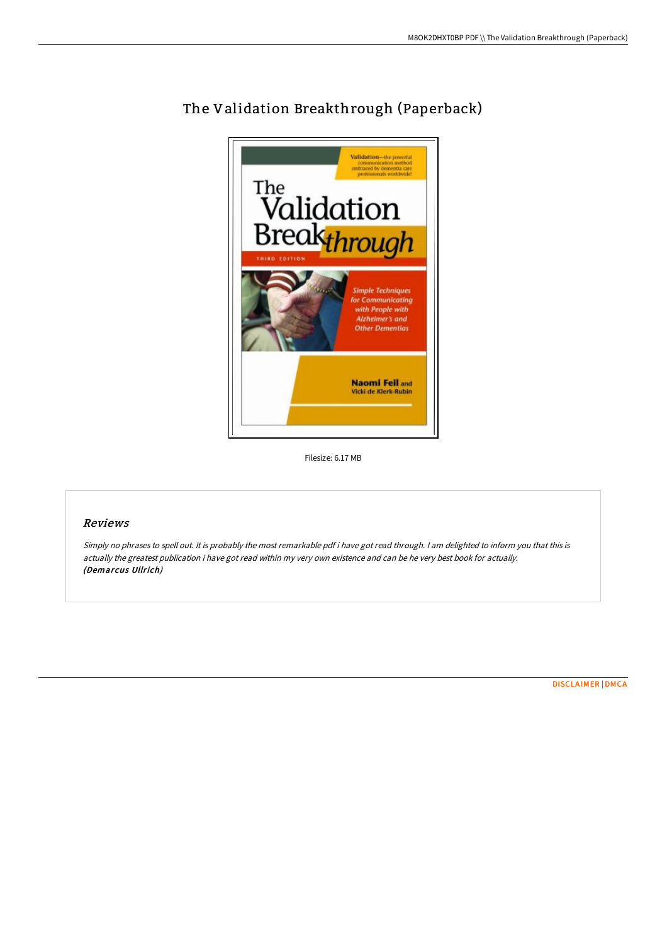

## The Validation Breakthrough (Paperback)

Filesize: 6.17 MB

## Reviews

Simply no phrases to spell out. It is probably the most remarkable pdf i have got read through. <sup>I</sup> am delighted to inform you that this is actually the greatest publication i have got read within my very own existence and can be he very best book for actually. (Demarcus Ullrich)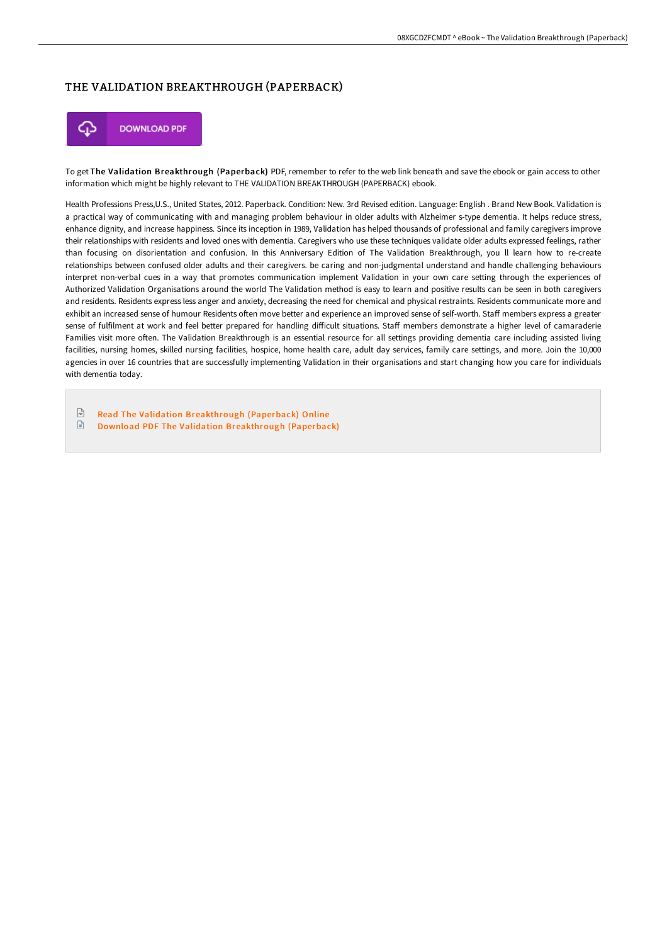## THE VALIDATION BREAKTHROUGH (PAPERBACK)



To get The Validation Breakthrough (Paperback) PDF, remember to refer to the web link beneath and save the ebook or gain access to other information which might be highly relevant to THE VALIDATION BREAKTHROUGH (PAPERBACK) ebook.

Health Professions Press,U.S., United States, 2012. Paperback. Condition: New. 3rd Revised edition. Language: English . Brand New Book. Validation is a practical way of communicating with and managing problem behaviour in older adults with Alzheimer s-type dementia. It helps reduce stress, enhance dignity, and increase happiness. Since its inception in 1989, Validation has helped thousands of professional and family caregivers improve their relationships with residents and loved ones with dementia. Caregivers who use these techniques validate older adults expressed feelings, rather than focusing on disorientation and confusion. In this Anniversary Edition of The Validation Breakthrough, you ll learn how to re-create relationships between confused older adults and their caregivers. be caring and non-judgmental understand and handle challenging behaviours interpret non-verbal cues in a way that promotes communication implement Validation in your own care setting through the experiences of Authorized Validation Organisations around the world The Validation method is easy to learn and positive results can be seen in both caregivers and residents. Residents express less anger and anxiety, decreasing the need for chemical and physical restraints. Residents communicate more and exhibit an increased sense of humour Residents often move better and experience an improved sense of self-worth. Staff members express a greater sense of fulfilment at work and feel better prepared for handling difficult situations. Staff members demonstrate a higher level of camaraderie Families visit more often. The Validation Breakthrough is an essential resource for all settings providing dementia care including assisted living facilities, nursing homes, skilled nursing facilities, hospice, home health care, adult day services, family care settings, and more. Join the 10,000 agencies in over 16 countries that are successfully implementing Validation in their organisations and start changing how you care for individuals with dementia today.

 $\sqrt{\frac{1}{n}}$ Read The Validation [Breakthrough](http://techno-pub.tech/the-validation-breakthrough-paperback.html) (Paperback) Online

 $\mathbf{r}$ Download PDF The Validation [Breakthrough](http://techno-pub.tech/the-validation-breakthrough-paperback.html) (Paperback)